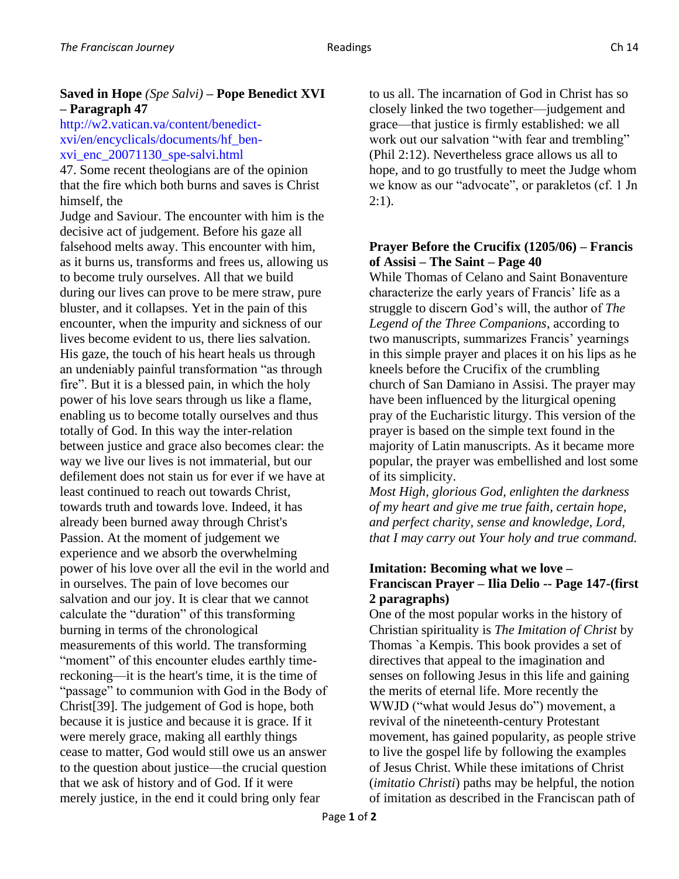## **Saved in Hope** *(Spe Salvi)* **– Pope Benedict XVI – Paragraph 47**

### http://w2.vatican.va/content/benedictxvi/en/encyclicals/documents/hf\_benxvi\_enc\_20071130\_spe-salvi.html

47. Some recent theologians are of the opinion that the fire which both burns and saves is Christ himself, the

Judge and Saviour. The encounter with him is the decisive act of judgement. Before his gaze all falsehood melts away. This encounter with him, as it burns us, transforms and frees us, allowing us to become truly ourselves. All that we build during our lives can prove to be mere straw, pure bluster, and it collapses. Yet in the pain of this encounter, when the impurity and sickness of our lives become evident to us, there lies salvation. His gaze, the touch of his heart heals us through an undeniably painful transformation "as through fire". But it is a blessed pain, in which the holy power of his love sears through us like a flame, enabling us to become totally ourselves and thus totally of God. In this way the inter-relation between justice and grace also becomes clear: the way we live our lives is not immaterial, but our defilement does not stain us for ever if we have at least continued to reach out towards Christ, towards truth and towards love. Indeed, it has already been burned away through Christ's Passion. At the moment of judgement we experience and we absorb the overwhelming power of his love over all the evil in the world and in ourselves. The pain of love becomes our salvation and our joy. It is clear that we cannot calculate the "duration" of this transforming burning in terms of the chronological measurements of this world. The transforming "moment" of this encounter eludes earthly timereckoning—it is the heart's time, it is the time of "passage" to communion with God in the Body of Christ[39]. The judgement of God is hope, both because it is justice and because it is grace. If it were merely grace, making all earthly things cease to matter, God would still owe us an answer to the question about justice—the crucial question that we ask of history and of God. If it were merely justice, in the end it could bring only fear

to us all. The incarnation of God in Christ has so closely linked the two together—judgement and grace—that justice is firmly established: we all work out our salvation "with fear and trembling" (Phil 2:12). Nevertheless grace allows us all to hope, and to go trustfully to meet the Judge whom we know as our "advocate", or parakletos (cf. 1 Jn  $2:1$ ).

## **Prayer Before the Crucifix (1205/06) – Francis of Assisi – The Saint – Page 40**

While Thomas of Celano and Saint Bonaventure characterize the early years of Francis' life as a struggle to discern God's will, the author of *The Legend of the Three Companions*, according to two manuscripts, summarizes Francis' yearnings in this simple prayer and places it on his lips as he kneels before the Crucifix of the crumbling church of San Damiano in Assisi. The prayer may have been influenced by the liturgical opening pray of the Eucharistic liturgy. This version of the prayer is based on the simple text found in the majority of Latin manuscripts. As it became more popular, the prayer was embellished and lost some of its simplicity.

*Most High, glorious God, enlighten the darkness of my heart and give me true faith, certain hope, and perfect charity, sense and knowledge, Lord, that I may carry out Your holy and true command.*

### **Imitation: Becoming what we love – Franciscan Prayer – Ilia Delio -- Page 147-(first 2 paragraphs)**

One of the most popular works in the history of Christian spirituality is *The Imitation of Christ* by Thomas `a Kempis. This book provides a set of directives that appeal to the imagination and senses on following Jesus in this life and gaining the merits of eternal life. More recently the WWJD ("what would Jesus do") movement, a revival of the nineteenth-century Protestant movement, has gained popularity, as people strive to live the gospel life by following the examples of Jesus Christ. While these imitations of Christ (*imitatio Christi*) paths may be helpful, the notion of imitation as described in the Franciscan path of